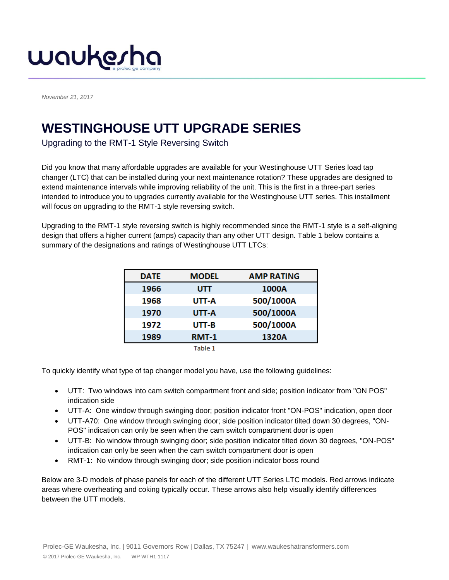

*November 21, 2017*

## **WESTINGHOUSE UTT UPGRADE SERIES**

Upgrading to the RMT-1 Style Reversing Switch

Did you know that many affordable upgrades are available for your Westinghouse UTT Series load tap changer (LTC) that can be installed during your next maintenance rotation? These upgrades are designed to extend maintenance intervals while improving reliability of the unit. This is the first in a three-part series intended to introduce you to upgrades currently available for the Westinghouse UTT series. This installment will focus on upgrading to the RMT-1 style reversing switch.

Upgrading to the RMT-1 style reversing switch is highly recommended since the RMT-1 style is a self-aligning design that offers a higher current (amps) capacity than any other UTT design. Table 1 below contains a summary of the designations and ratings of Westinghouse UTT LTCs:

| <b>DATE</b> | <b>MODEL</b> | <b>AMP RATING</b> |
|-------------|--------------|-------------------|
| 1966        | UΠ           | 1000A             |
| 1968        | UTT-A        | 500/1000A         |
| 1970        | UTT-A        | 500/1000A         |
| 1972        | $UT - B$     | 500/1000A         |
| 1989        | <b>RMT-1</b> | 1320A             |
|             | $T - L = 4$  |                   |

Table 1

To quickly identify what type of tap changer model you have, use the following guidelines:

- UTT: Two windows into cam switch compartment front and side; position indicator from "ON POS" indication side
- UTT-A: One window through swinging door; position indicator front "ON-POS" indication, open door
- UTT-A70: One window through swinging door; side position indicator tilted down 30 degrees, "ON-POS" indication can only be seen when the cam switch compartment door is open
- UTT-B: No window through swinging door; side position indicator tilted down 30 degrees, "ON-POS" indication can only be seen when the cam switch compartment door is open
- RMT-1: No window through swinging door; side position indicator boss round

Below are 3-D models of phase panels for each of the different UTT Series LTC models. Red arrows indicate areas where overheating and coking typically occur. These arrows also help visually identify differences between the UTT models.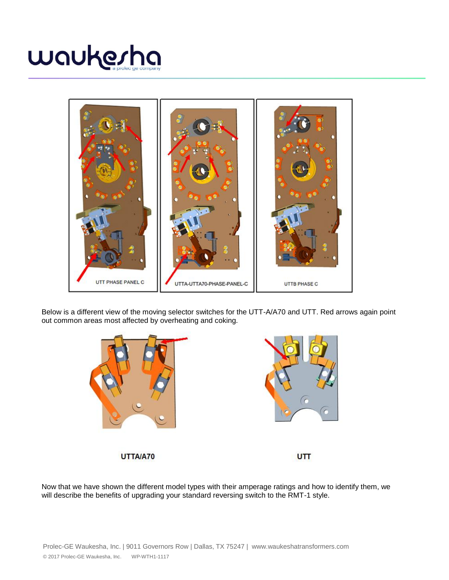



Below is a different view of the moving selector switches for the UTT-A/A70 and UTT. Red arrows again point out common areas most affected by overheating and coking.





UTTA/A70

UTT<sub></sub>

Now that we have shown the different model types with their amperage ratings and how to identify them, we will describe the benefits of upgrading your standard reversing switch to the RMT-1 style.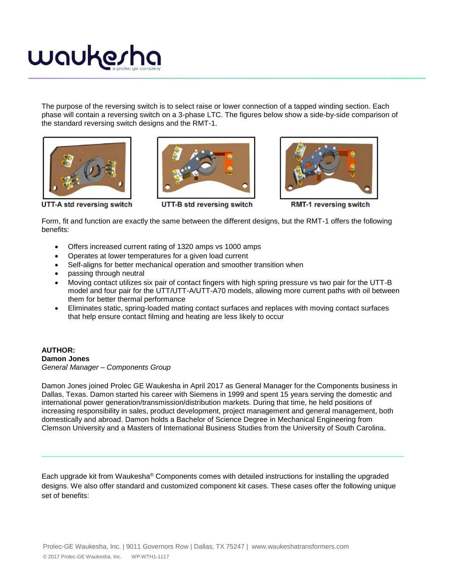

The purpose of the reversing switch is to select raise or lower connection of a tapped winding section. Each phase will contain a reversing switch on a 3-phase LTC. The figures below show a side-by-side comparison of the standard reversing switch designs and the RMT-1.







UTT-A std reversing switch

UTT-B std reversing switch

RMT-1 reversing switch

Form, fit and function are exactly the same between the different designs, but the RMT-1 offers the following benefits:

- Offers increased current rating of 1320 amps vs 1000 amps
- Operates at lower temperatures for a given load current
- Self-aligns for better mechanical operation and smoother transition when
- passing through neutral
- Moving contact utilizes six pair of contact fingers with high spring pressure vs two pair for the UTT-B model and four pair for the UTT/UTT-A/UTT-A70 models, allowing more current paths with oil between them for better thermal performance
- Eliminates static, spring-loaded mating contact surfaces and replaces with moving contact surfaces that help ensure contact filming and heating are less likely to occur

## **AUTHOR: Damon Jones** *General Manager – Components Group*

Damon Jones joined Prolec GE Waukesha in April 2017 as General Manager for the Components business in Dallas, Texas. Damon started his career with Siemens in 1999 and spent 15 years serving the domestic and international power generation/transmission/distribution markets. During that time, he held positions of increasing responsibility in sales, product development, project management and general management, both domestically and abroad. Damon holds a Bachelor of Science Degree in Mechanical Engineering from Clemson University and a Masters of International Business Studies from the University of South Carolina.

Each upgrade kit from Waukesha® Components comes with detailed instructions for installing the upgraded designs. We also offer standard and customized component kit cases. These cases offer the following unique set of benefits: